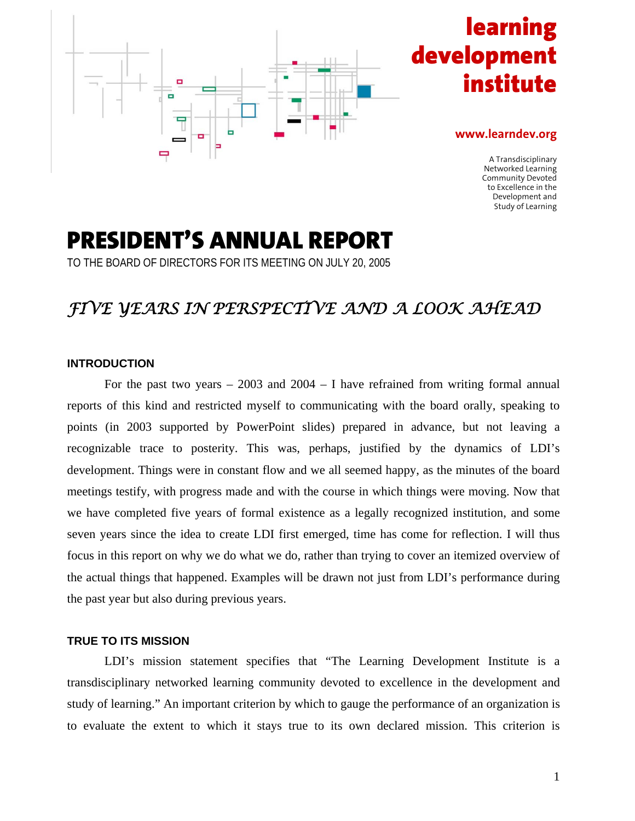

# **learning** developme **institute**

#### **www.learndev.org**

A Transdisciplinary Networked Learning Community Devoted to Excellence in the Development and Study of Learning

# **PRESIDENT'S ANNUAL REPORT**

TO THE BOARD OF DIRECTORS FOR ITS MEETING ON JULY 20, 2005

# *FIVE YEARS IN PERSPECTIVE AND A LOOK AHEAD*

#### **INTRODUCTION**

For the past two years  $-2003$  and  $2004 - I$  have refrained from writing formal annual reports of this kind and restricted myself to communicating with the board orally, speaking to points (in 2003 supported by PowerPoint slides) prepared in advance, but not leaving a recognizable trace to posterity. This was, perhaps, justified by the dynamics of LDI's development. Things were in constant flow and we all seemed happy, as the minutes of the board meetings testify, with progress made and with the course in which things were moving. Now that we have completed five years of formal existence as a legally recognized institution, and some seven years since the idea to create LDI first emerged, time has come for reflection. I will thus focus in this report on why we do what we do, rather than trying to cover an itemized overview of the actual things that happened. Examples will be drawn not just from LDI's performance during the past year but also during previous years.

# **TRUE TO ITS MISSION**

LDI's mission statement specifies that "The Learning Development Institute is a transdisciplinary networked learning community devoted to excellence in the development and study of learning." An important criterion by which to gauge the performance of an organization is to evaluate the extent to which it stays true to its own declared mission. This criterion is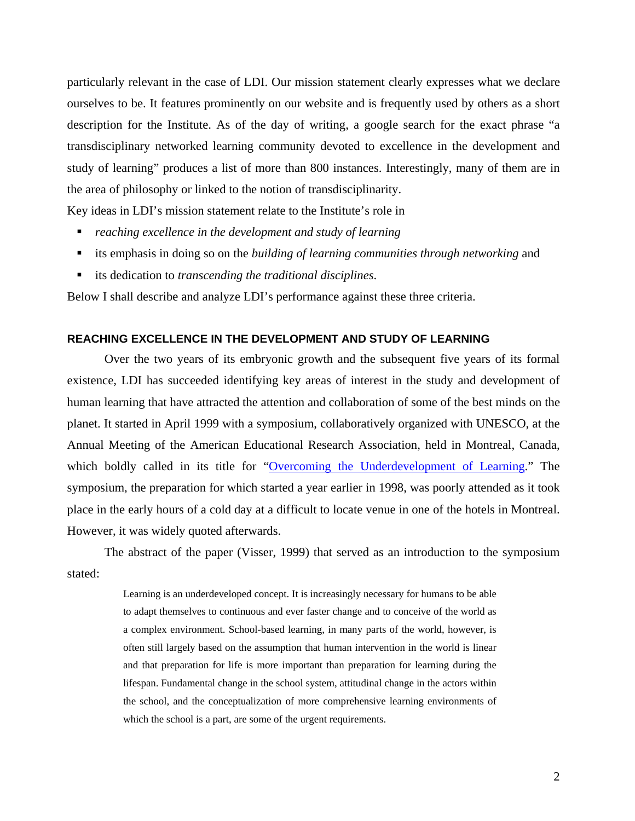particularly relevant in the case of LDI. Our mission statement clearly expresses what we declare ourselves to be. It features prominently on our website and is frequently used by others as a short description for the Institute. As of the day of writing, a google search for the exact phrase "a transdisciplinary networked learning community devoted to excellence in the development and study of learning" produces a list of more than 800 instances. Interestingly, many of them are in the area of philosophy or linked to the notion of transdisciplinarity.

Key ideas in LDI's mission statement relate to the Institute's role in

- *reaching excellence in the development and study of learning*
- its emphasis in doing so on the *building of learning communities through networking* and
- its dedication to *transcending the traditional disciplines*.

Below I shall describe and analyze LDI's performance against these three criteria.

### **REACHING EXCELLENCE IN THE DEVELOPMENT AND STUDY OF LEARNING**

Over the two years of its embryonic growth and the subsequent five years of its formal existence, LDI has succeeded identifying key areas of interest in the study and development of human learning that have attracted the attention and collaboration of some of the best minds on the planet. It started in April 1999 with a symposium, collaboratively organized with UNESCO, at the Annual Meeting of the American Educational Research Association, held in Montreal, Canada, which boldly called in its title for "Overcoming the Underdevelopment of Learning." The symposium, the preparation for which started a year earlier in 1998, was poorly attended as it took place in the early hours of a cold day at a difficult to locate venue in one of the hotels in Montreal. However, it was widely quoted afterwards.

The abstract of the paper (Visser, 1999) that served as an introduction to the symposium stated:

> Learning is an underdeveloped concept. It is increasingly necessary for humans to be able to adapt themselves to continuous and ever faster change and to conceive of the world as a complex environment. School-based learning, in many parts of the world, however, is often still largely based on the assumption that human intervention in the world is linear and that preparation for life is more important than preparation for learning during the lifespan. Fundamental change in the school system, attitudinal change in the actors within the school, and the conceptualization of more comprehensive learning environments of which the school is a part, are some of the urgent requirements.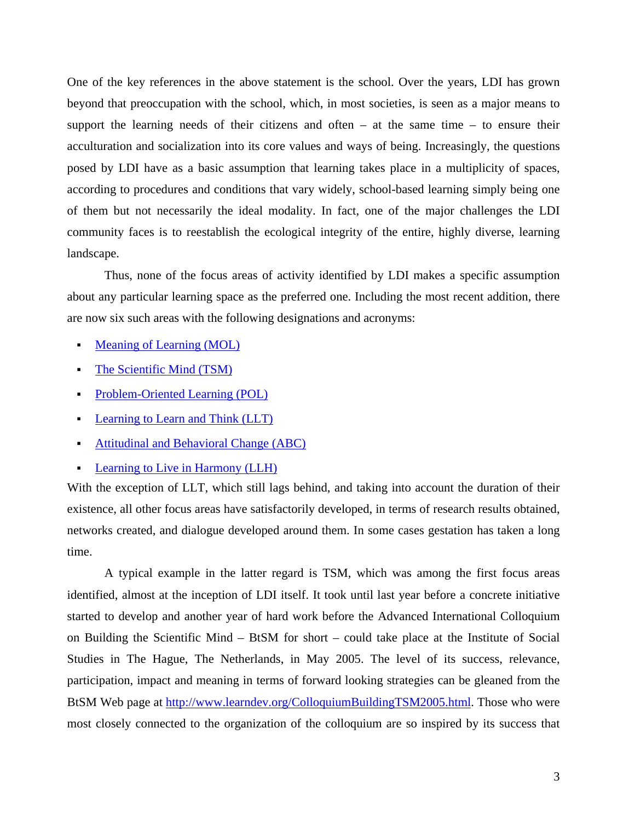One of the key references in the above statement is the school. Over the years, LDI has grown beyond that preoccupation with the school, which, in most societies, is seen as a major means to support the learning needs of their citizens and often – at the same time – to ensure their acculturation and socialization into its core values and ways of being. Increasingly, the questions posed by LDI have as a basic assumption that learning takes place in a multiplicity of spaces, according to procedures and conditions that vary widely, school-based learning simply being one of them but not necessarily the ideal modality. In fact, one of the major challenges the LDI community faces is to reestablish the ecological integrity of the entire, highly diverse, learning landscape.

Thus, none of the focus areas of activity identified by LDI makes a specific assumption about any particular learning space as the preferred one. Including the most recent addition, there are now six such areas with the following designations and acronyms:

- [Meaning of Learning \(MOL\)](http://www.learndev.org/MoL.html)
- [The Scientific Mind \(TSM\)](http://www.learndev.org/SciMind.html)
- [Problem-Oriented Learning \(POL\)](http://www.learndev.org/PBL.html)
- [Learning to Learn and Think \(LLT\)](http://www.learndev.org/LLT.html)
- **[Attitudinal and Behavioral Change \(ABC\)](http://www.learndev.org/ABC.html)**
- [Learning to Live in Harmony \(LLH\)](http://www.learndev.org/LLH.html)

With the exception of LLT, which still lags behind, and taking into account the duration of their existence, all other focus areas have satisfactorily developed, in terms of research results obtained, networks created, and dialogue developed around them. In some cases gestation has taken a long time.

A typical example in the latter regard is TSM, which was among the first focus areas identified, almost at the inception of LDI itself. It took until last year before a concrete initiative started to develop and another year of hard work before the Advanced International Colloquium on Building the Scientific Mind – BtSM for short – could take place at the Institute of Social Studies in The Hague, The Netherlands, in May 2005. The level of its success, relevance, participation, impact and meaning in terms of forward looking strategies can be gleaned from the BtSM Web page at <http://www.learndev.org/ColloquiumBuildingTSM2005.html>. Those who were most closely connected to the organization of the colloquium are so inspired by its success that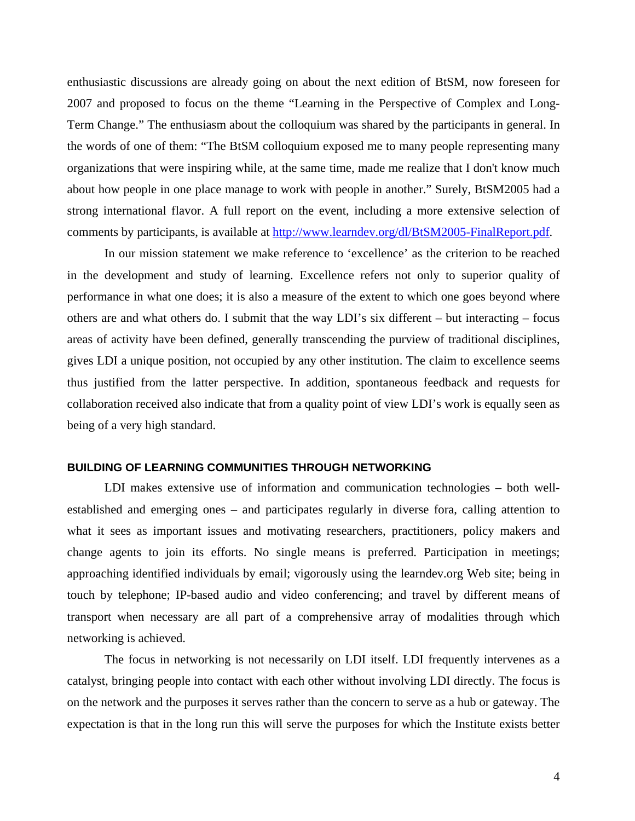enthusiastic discussions are already going on about the next edition of BtSM, now foreseen for 2007 and proposed to focus on the theme "Learning in the Perspective of Complex and Long-Term Change." The enthusiasm about the colloquium was shared by the participants in general. In the words of one of them: "The BtSM colloquium exposed me to many people representing many organizations that were inspiring while, at the same time, made me realize that I don't know much about how people in one place manage to work with people in another." Surely, BtSM2005 had a strong international flavor. A full report on the event, including a more extensive selection of comments by participants, is available at [http://www.learndev.org/dl/BtSM2005-FinalReport.pdf.](http://www.learndev.org/dl/BtSM2005-FinalReport.pdf)

In our mission statement we make reference to 'excellence' as the criterion to be reached in the development and study of learning. Excellence refers not only to superior quality of performance in what one does; it is also a measure of the extent to which one goes beyond where others are and what others do. I submit that the way LDI's six different – but interacting – focus areas of activity have been defined, generally transcending the purview of traditional disciplines, gives LDI a unique position, not occupied by any other institution. The claim to excellence seems thus justified from the latter perspective. In addition, spontaneous feedback and requests for collaboration received also indicate that from a quality point of view LDI's work is equally seen as being of a very high standard.

#### **BUILDING OF LEARNING COMMUNITIES THROUGH NETWORKING**

LDI makes extensive use of information and communication technologies – both wellestablished and emerging ones – and participates regularly in diverse fora, calling attention to what it sees as important issues and motivating researchers, practitioners, policy makers and change agents to join its efforts. No single means is preferred. Participation in meetings; approaching identified individuals by email; vigorously using the learndev.org Web site; being in touch by telephone; IP-based audio and video conferencing; and travel by different means of transport when necessary are all part of a comprehensive array of modalities through which networking is achieved.

The focus in networking is not necessarily on LDI itself. LDI frequently intervenes as a catalyst, bringing people into contact with each other without involving LDI directly. The focus is on the network and the purposes it serves rather than the concern to serve as a hub or gateway. The expectation is that in the long run this will serve the purposes for which the Institute exists better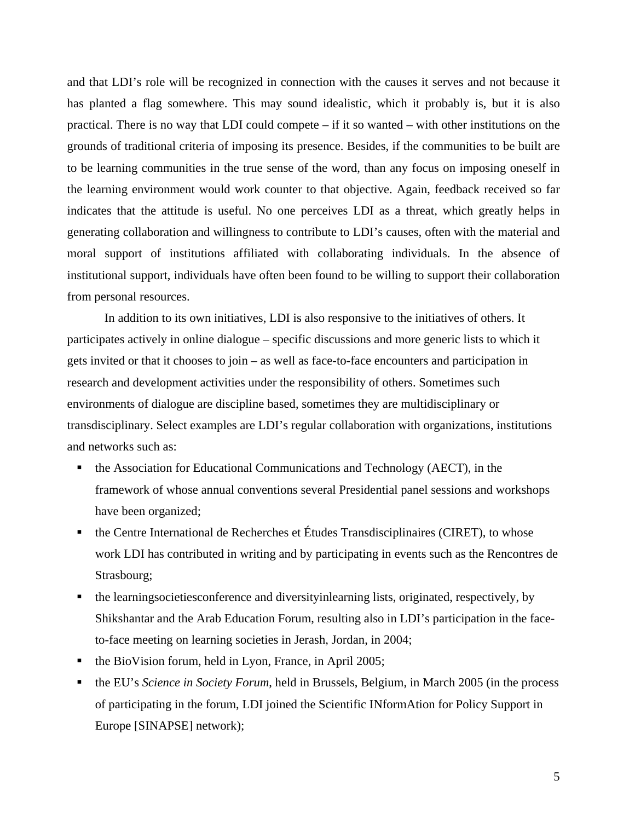and that LDI's role will be recognized in connection with the causes it serves and not because it has planted a flag somewhere. This may sound idealistic, which it probably is, but it is also practical. There is no way that LDI could compete – if it so wanted – with other institutions on the grounds of traditional criteria of imposing its presence. Besides, if the communities to be built are to be learning communities in the true sense of the word, than any focus on imposing oneself in the learning environment would work counter to that objective. Again, feedback received so far indicates that the attitude is useful. No one perceives LDI as a threat, which greatly helps in generating collaboration and willingness to contribute to LDI's causes, often with the material and moral support of institutions affiliated with collaborating individuals. In the absence of institutional support, individuals have often been found to be willing to support their collaboration from personal resources.

In addition to its own initiatives, LDI is also responsive to the initiatives of others. It participates actively in online dialogue – specific discussions and more generic lists to which it gets invited or that it chooses to join – as well as face-to-face encounters and participation in research and development activities under the responsibility of others. Sometimes such environments of dialogue are discipline based, sometimes they are multidisciplinary or transdisciplinary. Select examples are LDI's regular collaboration with organizations, institutions and networks such as:

- the Association for Educational Communications and Technology (AECT), in the framework of whose annual conventions several Presidential panel sessions and workshops have been organized;
- $\blacksquare$  the Centre International de Recherches et Études Transdisciplinaires (CIRET), to whose work LDI has contributed in writing and by participating in events such as the Rencontres de Strasbourg;
- the learningsocietiesconference and diversityinlearning lists, originated, respectively, by Shikshantar and the Arab Education Forum, resulting also in LDI's participation in the faceto-face meeting on learning societies in Jerash, Jordan, in 2004;
- the BioVision forum, held in Lyon, France, in April 2005;
- the EU's *Science in Society Forum*, held in Brussels, Belgium, in March 2005 (in the process of participating in the forum, LDI joined the Scientific INformAtion for Policy Support in Europe [SINAPSE] network);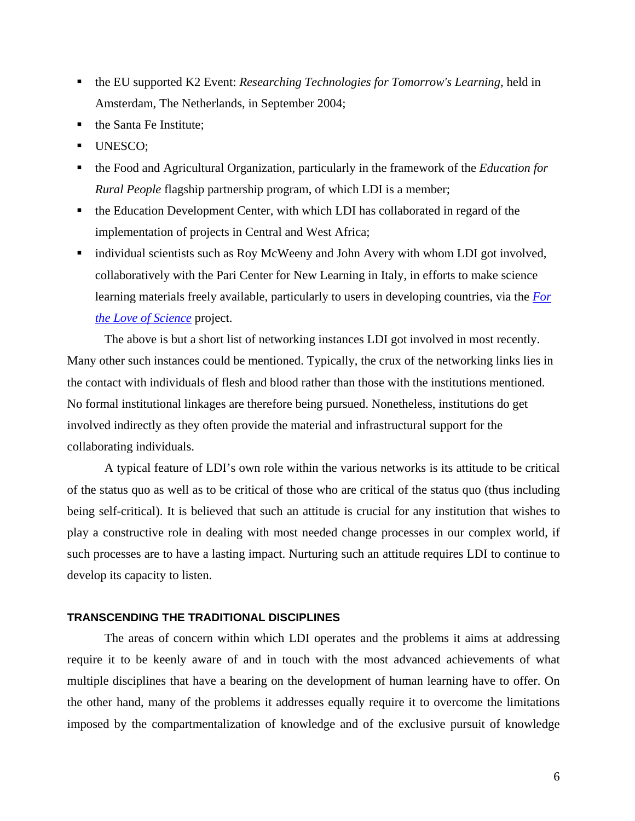- the EU supported K2 Event: *Researching Technologies for Tomorrow's Learning*, held in Amsterdam, The Netherlands, in September 2004;
- the Santa Fe Institute;
- UNESCO:
- the Food and Agricultural Organization, particularly in the framework of the *Education for Rural People* flagship partnership program, of which LDI is a member;
- the Education Development Center, with which LDI has collaborated in regard of the implementation of projects in Central and West Africa;
- individual scientists such as Roy McWeeny and John Avery with whom LDI got involved, collaboratively with the Pari Center for New Learning in Italy, in efforts to make science learning materials freely available, particularly to users in developing countries, via the *[For](http://www.learndev.org/ScienceWorkBooks.html)  [the Love of Science](http://www.learndev.org/ScienceWorkBooks.html)* project.

The above is but a short list of networking instances LDI got involved in most recently. Many other such instances could be mentioned. Typically, the crux of the networking links lies in the contact with individuals of flesh and blood rather than those with the institutions mentioned. No formal institutional linkages are therefore being pursued. Nonetheless, institutions do get involved indirectly as they often provide the material and infrastructural support for the collaborating individuals.

A typical feature of LDI's own role within the various networks is its attitude to be critical of the status quo as well as to be critical of those who are critical of the status quo (thus including being self-critical). It is believed that such an attitude is crucial for any institution that wishes to play a constructive role in dealing with most needed change processes in our complex world, if such processes are to have a lasting impact. Nurturing such an attitude requires LDI to continue to develop its capacity to listen.

## **TRANSCENDING THE TRADITIONAL DISCIPLINES**

The areas of concern within which LDI operates and the problems it aims at addressing require it to be keenly aware of and in touch with the most advanced achievements of what multiple disciplines that have a bearing on the development of human learning have to offer. On the other hand, many of the problems it addresses equally require it to overcome the limitations imposed by the compartmentalization of knowledge and of the exclusive pursuit of knowledge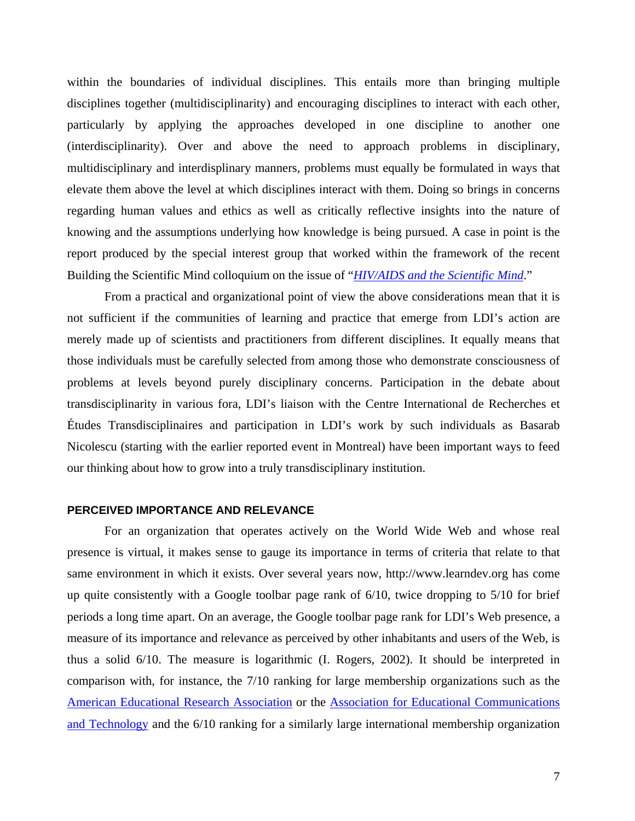within the boundaries of individual disciplines. This entails more than bringing multiple disciplines together (multidisciplinarity) and encouraging disciplines to interact with each other, particularly by applying the approaches developed in one discipline to another one (interdisciplinarity). Over and above the need to approach problems in disciplinary, multidisciplinary and interdisplinary manners, problems must equally be formulated in ways that elevate them above the level at which disciplines interact with them. Doing so brings in concerns regarding human values and ethics as well as critically reflective insights into the nature of knowing and the assumptions underlying how knowledge is being pursued. A case in point is the report produced by the special interest group that worked within the framework of the recent Building the Scientific Mind colloquium on the issue of "*[HIV/AIDS and the Scientific Mind](http://www.learndev.org/dl/HIV-AIDS+SM.pdf)*."

From a practical and organizational point of view the above considerations mean that it is not sufficient if the communities of learning and practice that emerge from LDI's action are merely made up of scientists and practitioners from different disciplines. It equally means that those individuals must be carefully selected from among those who demonstrate consciousness of problems at levels beyond purely disciplinary concerns. Participation in the debate about transdisciplinarity in various fora, LDI's liaison with the Centre International de Recherches et Études Transdisciplinaires and participation in LDI's work by such individuals as Basarab Nicolescu (starting with the earlier reported event in Montreal) have been important ways to feed our thinking about how to grow into a truly transdisciplinary institution.

#### **PERCEIVED IMPORTANCE AND RELEVANCE**

For an organization that operates actively on the World Wide Web and whose real presence is virtual, it makes sense to gauge its importance in terms of criteria that relate to that same environment in which it exists. Over several years now, http://www.learndev.org has come up quite consistently with a Google toolbar page rank of 6/10, twice dropping to 5/10 for brief periods a long time apart. On an average, the Google toolbar page rank for LDI's Web presence, a measure of its importance and relevance as perceived by other inhabitants and users of the Web, is thus a solid 6/10. The measure is logarithmic (I. Rogers, 2002). It should be interpreted in comparison with, for instance, the 7/10 ranking for large membership organizations such as the [American Educational Research Association](http://www.aera.net/) or the [Association for Educational Communications](http://www.aect.org/)  [and Technology](http://www.aect.org/) and the 6/10 ranking for a similarly large international membership organization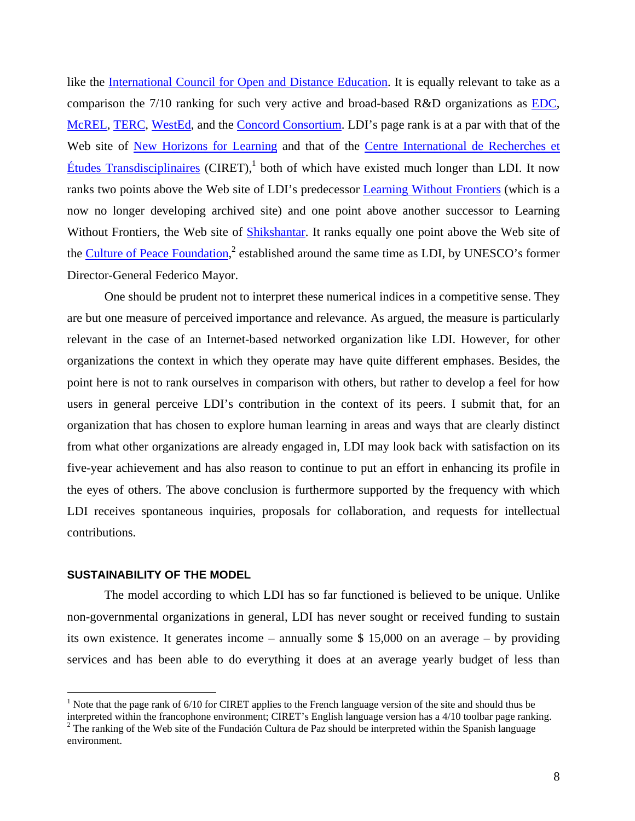like the [International Council for Open and Distance Education.](http://www.icde.org/) It is equally relevant to take as a comparison the 7/10 ranking for such very active and broad-based R&D organizations as [EDC,](http://www.edc.org/) [McREL](http://www.mcrel.org/), [TERC](http://www.terc.edu/), [WestEd](http://www.wested.org/), and the [Concord Consortium.](http://www.concord.org/) LDI's page rank is at a par with that of the Web site of [New Horizons for Learning](http://www.newhorizons.org/) and that of the [Centre International de Recherches et](http://nicol.club.fr/ciret/index.htm)   $\hat{E}$ tudes Transdisciplinaires (CIRET),<sup>1</sup> both of which have existed much longer than LDI. It now ranks two points above the Web site of LDI's predecessor [Learning Without Frontiers](http://www.unesco.org/education/lwf/) (which is a now no longer developing archived site) and one point above another successor to Learning Without Frontiers, the Web site of **Shikshantar**. It ranks equally one point above the Web site of the [Culture of Peace Foundation,](http://www.fund-culturadepaz.org/)<sup>[2](#page-7-1)</sup> established around the same time as LDI, by UNESCO's former Director-General Federico Mayor.

One should be prudent not to interpret these numerical indices in a competitive sense. They are but one measure of perceived importance and relevance. As argued, the measure is particularly relevant in the case of an Internet-based networked organization like LDI. However, for other organizations the context in which they operate may have quite different emphases. Besides, the point here is not to rank ourselves in comparison with others, but rather to develop a feel for how users in general perceive LDI's contribution in the context of its peers. I submit that, for an organization that has chosen to explore human learning in areas and ways that are clearly distinct from what other organizations are already engaged in, LDI may look back with satisfaction on its five-year achievement and has also reason to continue to put an effort in enhancing its profile in the eyes of others. The above conclusion is furthermore supported by the frequency with which LDI receives spontaneous inquiries, proposals for collaboration, and requests for intellectual contributions.

#### **SUSTAINABILITY OF THE MODEL**

 $\overline{a}$ 

The model according to which LDI has so far functioned is believed to be unique. Unlike non-governmental organizations in general, LDI has never sought or received funding to sustain its own existence. It generates income – annually some \$ 15,000 on an average – by providing services and has been able to do everything it does at an average yearly budget of less than

<span id="page-7-0"></span><sup>&</sup>lt;sup>1</sup> Note that the page rank of  $6/10$  for CIRET applies to the French language version of the site and should thus be interpreted within the francophone environment; CIRET's English language version has a 4/10 toolbar page ranking. 2

<span id="page-7-1"></span> $2$  The ranking of the Web site of the Fundación Cultura de Paz should be interpreted within the Spanish language environment.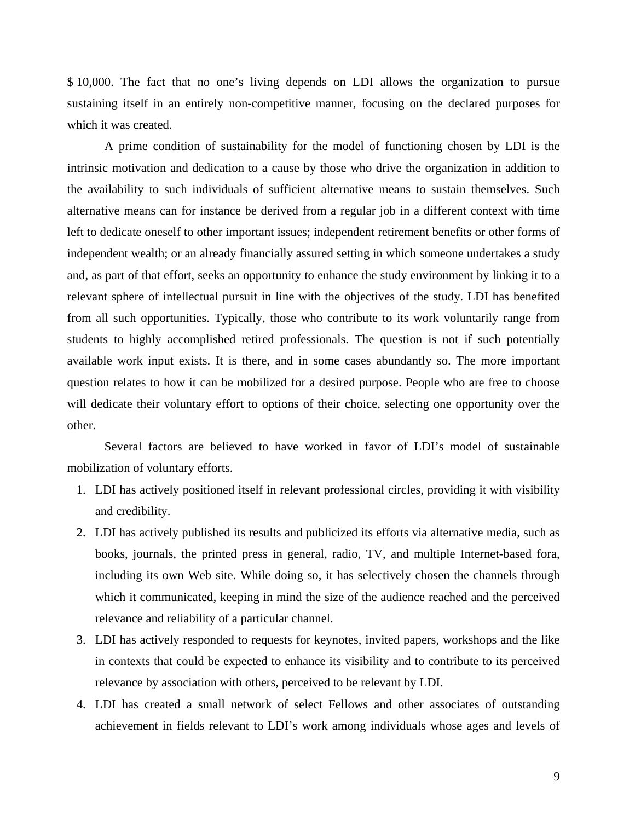\$ 10,000. The fact that no one's living depends on LDI allows the organization to pursue sustaining itself in an entirely non-competitive manner, focusing on the declared purposes for which it was created.

A prime condition of sustainability for the model of functioning chosen by LDI is the intrinsic motivation and dedication to a cause by those who drive the organization in addition to the availability to such individuals of sufficient alternative means to sustain themselves. Such alternative means can for instance be derived from a regular job in a different context with time left to dedicate oneself to other important issues; independent retirement benefits or other forms of independent wealth; or an already financially assured setting in which someone undertakes a study and, as part of that effort, seeks an opportunity to enhance the study environment by linking it to a relevant sphere of intellectual pursuit in line with the objectives of the study. LDI has benefited from all such opportunities. Typically, those who contribute to its work voluntarily range from students to highly accomplished retired professionals. The question is not if such potentially available work input exists. It is there, and in some cases abundantly so. The more important question relates to how it can be mobilized for a desired purpose. People who are free to choose will dedicate their voluntary effort to options of their choice, selecting one opportunity over the other.

Several factors are believed to have worked in favor of LDI's model of sustainable mobilization of voluntary efforts.

- 1. LDI has actively positioned itself in relevant professional circles, providing it with visibility and credibility.
- 2. LDI has actively published its results and publicized its efforts via alternative media, such as books, journals, the printed press in general, radio, TV, and multiple Internet-based fora, including its own Web site. While doing so, it has selectively chosen the channels through which it communicated, keeping in mind the size of the audience reached and the perceived relevance and reliability of a particular channel.
- 3. LDI has actively responded to requests for keynotes, invited papers, workshops and the like in contexts that could be expected to enhance its visibility and to contribute to its perceived relevance by association with others, perceived to be relevant by LDI.
- 4. LDI has created a small network of select Fellows and other associates of outstanding achievement in fields relevant to LDI's work among individuals whose ages and levels of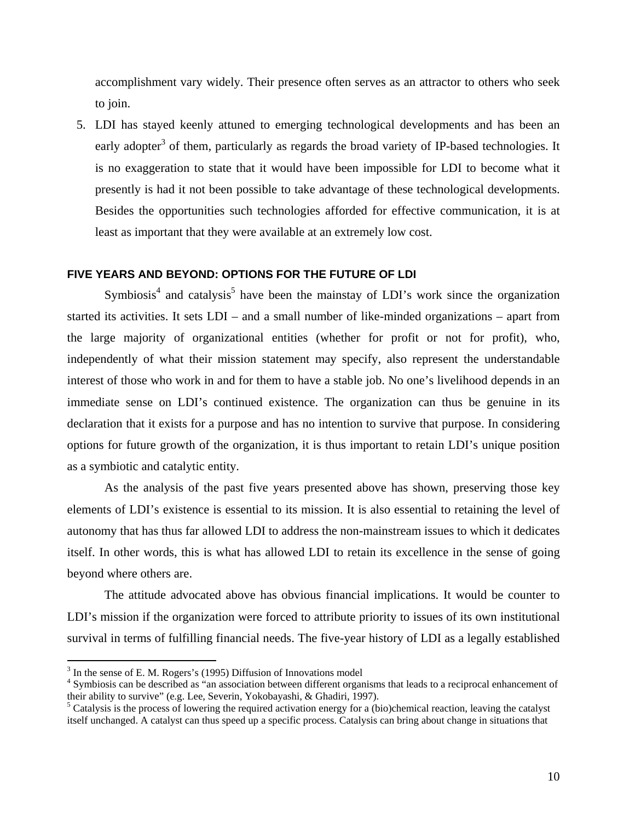accomplishment vary widely. Their presence often serves as an attractor to others who seek to join.

5. LDI has stayed keenly attuned to emerging technological developments and has been an early adopter<sup>[3](#page-9-0)</sup> of them, particularly as regards the broad variety of IP-based technologies. It is no exaggeration to state that it would have been impossible for LDI to become what it presently is had it not been possible to take advantage of these technological developments. Besides the opportunities such technologies afforded for effective communication, it is at least as important that they were available at an extremely low cost.

# **FIVE YEARS AND BEYOND: OPTIONS FOR THE FUTURE OF LDI**

Symbiosis<sup>[4](#page-9-1)</sup> and catalysis<sup>[5](#page-9-2)</sup> have been the mainstay of LDI's work since the organization started its activities. It sets LDI – and a small number of like-minded organizations – apart from the large majority of organizational entities (whether for profit or not for profit), who, independently of what their mission statement may specify, also represent the understandable interest of those who work in and for them to have a stable job. No one's livelihood depends in an immediate sense on LDI's continued existence. The organization can thus be genuine in its declaration that it exists for a purpose and has no intention to survive that purpose. In considering options for future growth of the organization, it is thus important to retain LDI's unique position as a symbiotic and catalytic entity.

As the analysis of the past five years presented above has shown, preserving those key elements of LDI's existence is essential to its mission. It is also essential to retaining the level of autonomy that has thus far allowed LDI to address the non-mainstream issues to which it dedicates itself. In other words, this is what has allowed LDI to retain its excellence in the sense of going beyond where others are.

The attitude advocated above has obvious financial implications. It would be counter to LDI's mission if the organization were forced to attribute priority to issues of its own institutional survival in terms of fulfilling financial needs. The five-year history of LDI as a legally established

 $\overline{a}$ 

<span id="page-9-0"></span> $3 \text{ In the sense of E. M. Rogers's (1995) Diffusion of Innovations model, \n $4 \text{ Symbicetic can be described as "in recognition between different errors.}$$ 

<span id="page-9-1"></span><sup>&</sup>lt;sup>4</sup> Symbiosis can be described as "an association between different organisms that leads to a reciprocal enhancement of their ability to survive" (e.g. Lee, Severin, Yokobayashi, & Ghadiri, 1997).

<span id="page-9-2"></span> $<sup>5</sup>$  Catalysis is the process of lowering the required activation energy for a (bio)chemical reaction, leaving the catalyst</sup> itself unchanged. A catalyst can thus speed up a specific process. Catalysis can bring about change in situations that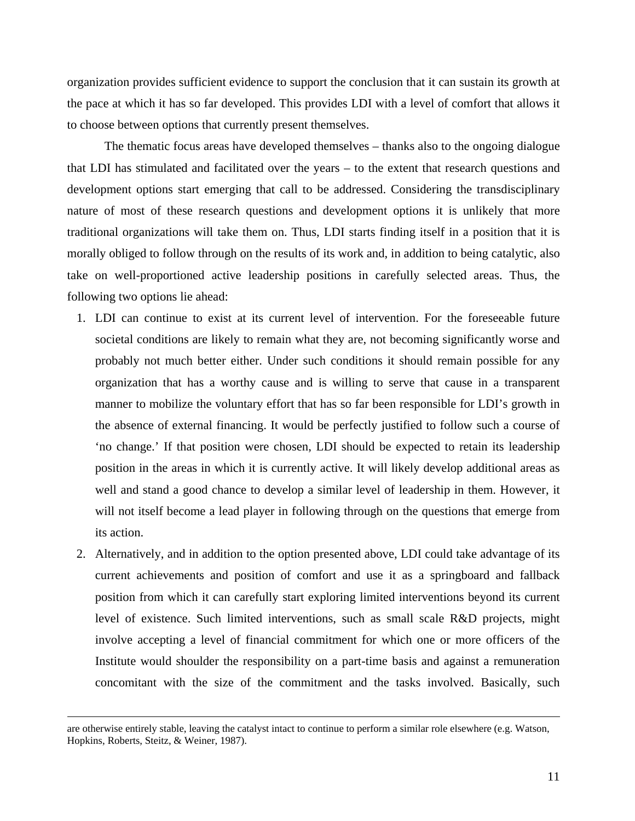organization provides sufficient evidence to support the conclusion that it can sustain its growth at the pace at which it has so far developed. This provides LDI with a level of comfort that allows it to choose between options that currently present themselves.

The thematic focus areas have developed themselves – thanks also to the ongoing dialogue that LDI has stimulated and facilitated over the years – to the extent that research questions and development options start emerging that call to be addressed. Considering the transdisciplinary nature of most of these research questions and development options it is unlikely that more traditional organizations will take them on. Thus, LDI starts finding itself in a position that it is morally obliged to follow through on the results of its work and, in addition to being catalytic, also take on well-proportioned active leadership positions in carefully selected areas. Thus, the following two options lie ahead:

- 1. LDI can continue to exist at its current level of intervention. For the foreseeable future societal conditions are likely to remain what they are, not becoming significantly worse and probably not much better either. Under such conditions it should remain possible for any organization that has a worthy cause and is willing to serve that cause in a transparent manner to mobilize the voluntary effort that has so far been responsible for LDI's growth in the absence of external financing. It would be perfectly justified to follow such a course of 'no change.' If that position were chosen, LDI should be expected to retain its leadership position in the areas in which it is currently active. It will likely develop additional areas as well and stand a good chance to develop a similar level of leadership in them. However, it will not itself become a lead player in following through on the questions that emerge from its action.
- 2. Alternatively, and in addition to the option presented above, LDI could take advantage of its current achievements and position of comfort and use it as a springboard and fallback position from which it can carefully start exploring limited interventions beyond its current level of existence. Such limited interventions, such as small scale R&D projects, might involve accepting a level of financial commitment for which one or more officers of the Institute would shoulder the responsibility on a part-time basis and against a remuneration concomitant with the size of the commitment and the tasks involved. Basically, such

are otherwise entirely stable, leaving the catalyst intact to continue to perform a similar role elsewhere (e.g. Watson, Hopkins, Roberts, Steitz, & Weiner, 1987).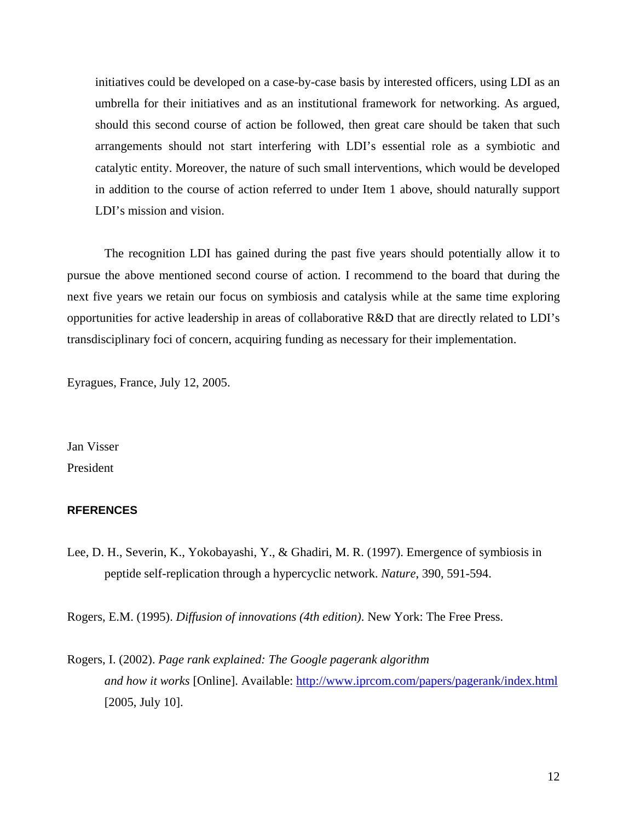initiatives could be developed on a case-by-case basis by interested officers, using LDI as an umbrella for their initiatives and as an institutional framework for networking. As argued, should this second course of action be followed, then great care should be taken that such arrangements should not start interfering with LDI's essential role as a symbiotic and catalytic entity. Moreover, the nature of such small interventions, which would be developed in addition to the course of action referred to under Item 1 above, should naturally support LDI's mission and vision.

The recognition LDI has gained during the past five years should potentially allow it to pursue the above mentioned second course of action. I recommend to the board that during the next five years we retain our focus on symbiosis and catalysis while at the same time exploring opportunities for active leadership in areas of collaborative R&D that are directly related to LDI's transdisciplinary foci of concern, acquiring funding as necessary for their implementation.

Eyragues, France, July 12, 2005.

Jan Visser President

### **RFERENCES**

Lee, D. H., Severin, K., Yokobayashi, Y., & Ghadiri, M. R. (1997). Emergence of symbiosis in peptide self-replication through a hypercyclic network. *Nature*, 390, 591-594.

Rogers, E.M. (1995). *Diffusion of innovations (4th edition)*. New York: The Free Press.

Rogers, I. (2002). *Page rank explained: The Google pagerank algorithm and how it works* [Online]. Available: <http://www.iprcom.com/papers/pagerank/index.html> [2005, July 10].